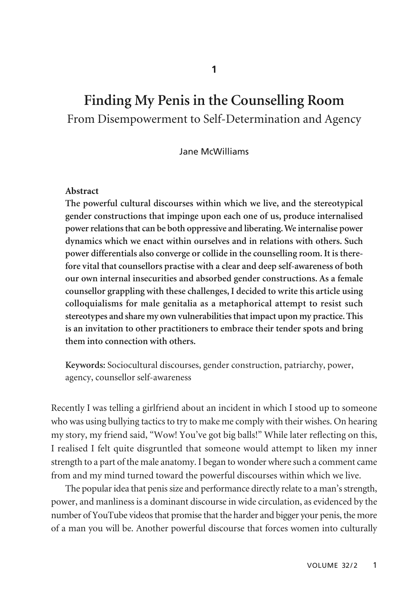# **Finding My Penis in the Counselling Room**  From Disempowerment to Self-Determination and Agency

Jane McWilliams

#### **Abstract**

**The powerful cultural discourses within which we live, and the stereotypical gender constructions that impinge upon each one of us, produce internalised power relations that can be both oppressive and liberating. We internalise power dynamics which we enact within ourselves and in relations with others. Such power differentials also converge or collide in the counselling room. It is therefore vital that counsellors practise with a clear and deep self-awareness of both our own internal insecurities and absorbed gender constructions. As a female counsellor grappling with these challenges, I decided to write this article using colloquialisms for male genitalia as a metaphorical attempt to resist such stereotypes and share my own vulnerabilities that impact upon my practice. This is an invitation to other practitioners to embrace their tender spots and bring them into connection with others.**

**Keywords:** Sociocultural discourses, gender construction, patriarchy, power, agency, counsellor self-awareness

Recently I was telling a girlfriend about an incident in which I stood up to someone who was using bullying tactics to try to make me comply with their wishes. On hearing my story, my friend said, "Wow! You've got big balls!" While later reflecting on this, I realised I felt quite disgruntled that someone would attempt to liken my inner strength to a part of the male anatomy. I began to wonder where such a comment came from and my mind turned toward the powerful discourses within which we live.

The popular idea that penis size and performance directly relate to a man's strength, power, and manliness is a dominant discourse in wide circulation, as evidenced by the number of YouTube videos that promise that the harder and bigger your penis, the more of a man you will be. Another powerful discourse that forces women into culturally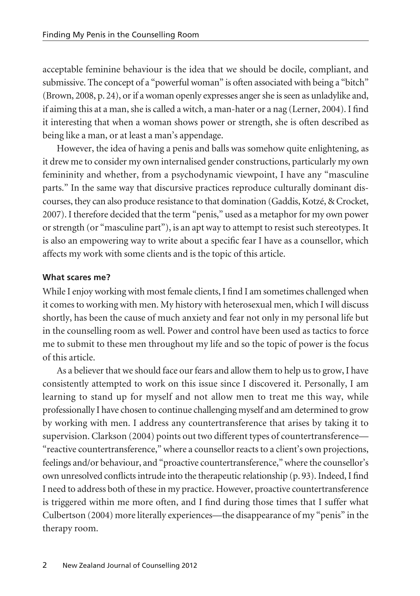acceptable feminine behaviour is the idea that we should be docile, compliant, and submissive. The concept of a "powerful woman" is often associated with being a "bitch" (Brown, 2008, p. 24), or if a woman openly expresses anger she is seen as unladylike and, if aiming this at a man, she is called a witch, a man-hater or a nag (Lerner, 2004). I find it interesting that when a woman shows power or strength, she is often described as being like a man, or at least a man's appendage.

However, the idea of having a penis and balls was somehow quite enlightening, as it drew me to consider my own internalised gender constructions, particularly my own femininity and whether, from a psychodynamic viewpoint, I have any "masculine parts." In the same way that discursive practices reproduce culturally dominant discourses, they can also produce resistance to that domination (Gaddis, Kotzé, & Crocket, 2007). I therefore decided that the term "penis," used as a metaphor for my own power or strength (or "masculine part"), is an apt way to attempt to resist such stereotypes. It is also an empowering way to write about a specific fear I have as a counsellor, which affects my work with some clients and is the topic of this article.

#### **What scares me?**

While I enjoy working with most female clients, I find I am sometimes challenged when it comes to working with men. My history with heterosexual men, which I will discuss shortly, has been the cause of much anxiety and fear not only in my personal life but in the counselling room as well. Power and control have been used as tactics to force me to submit to these men throughout my life and so the topic of power is the focus of this article.

As a believer that we should face our fears and allow them to help us to grow, I have consistently attempted to work on this issue since I discovered it. Personally, I am learning to stand up for myself and not allow men to treat me this way, while professionally I have chosen to continue challenging myself and am determined to grow by working with men. I address any countertransference that arises by taking it to supervision. Clarkson (2004) points out two different types of countertransference— "reactive countertransference," where a counsellor reacts to a client's own projections, feelings and/or behaviour, and "proactive countertransference," where the counsellor's own unresolved conflicts intrude into the therapeutic relationship (p. 93). Indeed, I find I need to address both of these in my practice. However, proactive countertransference is triggered within me more often, and I find during those times that I suffer what Culbertson (2004) more literally experiences—the disappearance of my "penis" in the therapy room.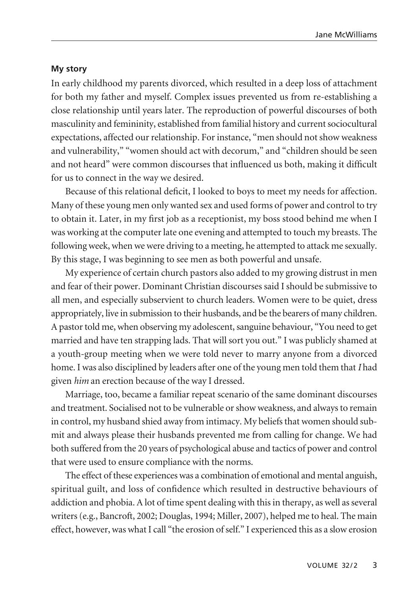### **My story**

In early childhood my parents divorced, which resulted in a deep loss of attachment for both my father and myself. Complex issues prevented us from re-establishing a close relationship until years later. The reproduction of powerful discourses of both masculinity and femininity, established from familial history and current sociocultural expectations, affected our relationship. For instance, "men should not show weakness and vulnerability," "women should act with decorum," and "children should be seen and not heard" were common discourses that influenced us both, making it difficult for us to connect in the way we desired.

Because of this relational deficit, I looked to boys to meet my needs for affection. Many of these young men only wanted sex and used forms of power and control to try to obtain it. Later, in my first job as a receptionist, my boss stood behind me when I was working at the computer late one evening and attempted to touch my breasts. The following week, when we were driving to a meeting, he attempted to attack me sexually. By this stage, I was beginning to see men as both powerful and unsafe.

My experience of certain church pastors also added to my growing distrust in men and fear of their power. Dominant Christian discourses said I should be submissive to all men, and especially subservient to church leaders. Women were to be quiet, dress appropriately, live in submission to their husbands, and be the bearers of many children. A pastor told me, when observing my adolescent, sanguine behaviour, "You need to get married and have ten strapping lads. That will sort you out." I was publicly shamed at a youth-group meeting when we were told never to marry anyone from a divorced home. I was also disciplined by leaders after one of the young men told them that *I* had given *him* an erection because of the way I dressed.

Marriage, too, became a familiar repeat scenario of the same dominant discourses and treatment. Socialised not to be vulnerable or show weakness, and always to remain in control, my husband shied away from intimacy. My beliefs that women should submit and always please their husbands prevented me from calling for change. We had both suffered from the 20 years of psychological abuse and tactics of power and control that were used to ensure compliance with the norms.

The effect of these experiences was a combination of emotional and mental anguish, spiritual guilt, and loss of confidence which resulted in destructive behaviours of addiction and phobia. A lot of time spent dealing with this in therapy, as well as several writers (e.g., Bancroft, 2002; Douglas, 1994; Miller, 2007), helped me to heal. The main effect, however, was what I call "the erosion of self." I experienced this as a slow erosion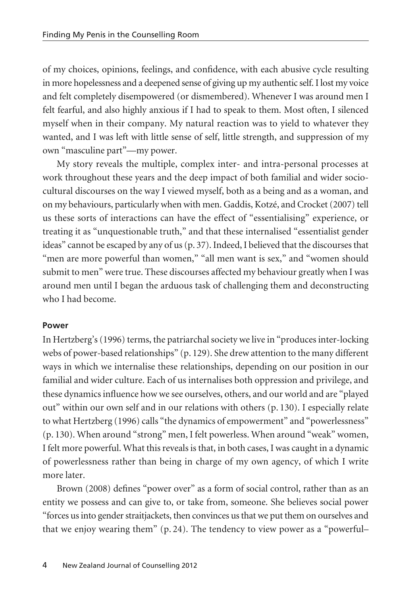of my choices, opinions, feelings, and confidence, with each abusive cycle resulting in more hopelessness and a deepened sense of giving up my authentic self. I lost my voice and felt completely disempowered (or dismembered). Whenever I was around men I felt fearful, and also highly anxious if I had to speak to them. Most often, I silenced myself when in their company. My natural reaction was to yield to whatever they wanted, and I was left with little sense of self, little strength, and suppression of my own "masculine part"—my power.

My story reveals the multiple, complex inter- and intra-personal processes at work throughout these years and the deep impact of both familial and wider sociocultural discourses on the way I viewed myself, both as a being and as a woman, and on my behaviours, particularly when with men. Gaddis, Kotzé, and Crocket (2007) tell us these sorts of interactions can have the effect of "essentialising" experience, or treating it as "unquestionable truth," and that these internalised "essentialist gender ideas" cannot be escaped by any of us (p. 37). Indeed, I believed that the discourses that "men are more powerful than women," "all men want is sex," and "women should submit to men" were true. These discourses affected my behaviour greatly when I was around men until I began the arduous task of challenging them and deconstructing who I had become.

#### **Power**

In Hertzberg's (1996) terms, the patriarchal society we live in "produces inter-locking webs of power-based relationships" (p. 129). She drew attention to the many different ways in which we internalise these relationships, depending on our position in our familial and wider culture. Each of us internalises both oppression and privilege, and these dynamics influence how we see ourselves, others, and our world and are "played out" within our own self and in our relations with others (p. 130). I especially relate to what Hertzberg (1996) calls "the dynamics of empowerment" and "powerlessness" (p. 130). When around "strong" men, I felt powerless. When around "weak" women, I felt more powerful. What this reveals is that, in both cases, I was caught in a dynamic of powerlessness rather than being in charge of my own agency, of which I write more later.

Brown (2008) defines "power over" as a form of social control, rather than as an entity we possess and can give to, or take from, someone. She believes social power "forces us into gender straitjackets, then convinces us that we put them on ourselves and that we enjoy wearing them" (p. 24). The tendency to view power as a "powerful–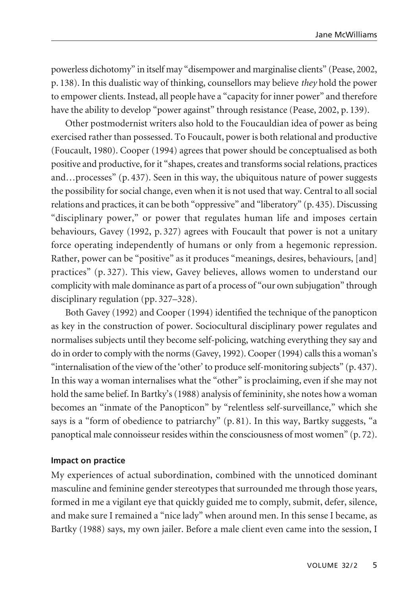powerless dichotomy" in itself may "disempower and marginalise clients" (Pease, 2002, p. 138). In this dualistic way of thinking, counsellors may believe *they* hold the power to empower clients. Instead, all people have a "capacity for inner power" and therefore have the ability to develop "power against" through resistance (Pease, 2002, p. 139).

Other postmodernist writers also hold to the Foucauldian idea of power as being exercised rather than possessed. To Foucault, power is both relational and productive (Foucault, 1980). Cooper (1994) agrees that power should be conceptualised as both positive and productive, for it "shapes, creates and transforms social relations, practices and…processes" (p. 437). Seen in this way, the ubiquitous nature of power suggests the possibility for social change, even when it is not used that way. Central to all social relations and practices, it can be both "oppressive" and "liberatory" (p. 435). Discussing "disciplinary power," or power that regulates human life and imposes certain behaviours, Gavey (1992, p. 327) agrees with Foucault that power is not a unitary force operating independently of humans or only from a hegemonic repression. Rather, power can be "positive" as it produces "meanings, desires, behaviours, [and] practices" (p. 327). This view, Gavey believes, allows women to understand our complicity with male dominance as part of a process of "our own subjugation" through disciplinary regulation (pp. 327–328).

Both Gavey (1992) and Cooper (1994) identified the technique of the panopticon as key in the construction of power. Sociocultural disciplinary power regulates and normalises subjects until they become self-policing, watching everything they say and do in order to comply with the norms (Gavey, 1992). Cooper (1994) calls this a woman's "internalisation of the view of the 'other' to produce self-monitoring subjects" (p. 437). In this way a woman internalises what the "other" is proclaiming, even if she may not hold the same belief. In Bartky's (1988) analysis of femininity, she notes how a woman becomes an "inmate of the Panopticon" by "relentless self-surveillance," which she says is a "form of obedience to patriarchy" (p. 81). In this way, Bartky suggests, "a panoptical male connoisseur resides within the consciousness of most women" (p. 72).

## **Impact on practice**

My experiences of actual subordination, combined with the unnoticed dominant masculine and feminine gender stereotypes that surrounded me through those years, formed in me a vigilant eye that quickly guided me to comply, submit, defer, silence, and make sure I remained a "nice lady" when around men. In this sense I became, as Bartky (1988) says, my own jailer. Before a male client even came into the session, I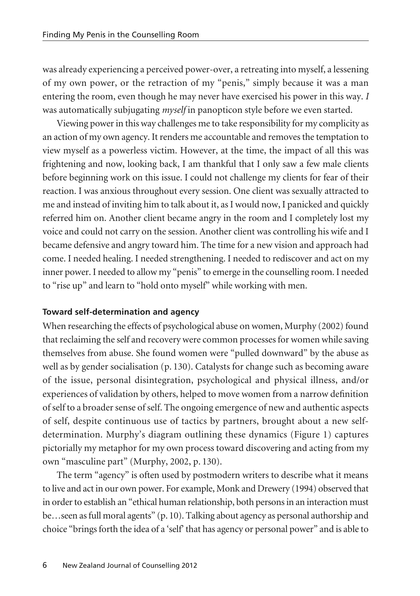was already experiencing a perceived power-over, a retreating into myself, a lessening of my own power, or the retraction of my "penis," simply because it was a man entering the room, even though he may never have exercised his power in this way. *I* was automatically subjugating *myself* in panopticon style before we even started.

Viewing power in this way challenges me to take responsibility for my complicity as an action of my own agency. It renders me accountable and removes the temptation to view myself as a powerless victim. However, at the time, the impact of all this was frightening and now, looking back, I am thankful that I only saw a few male clients before beginning work on this issue. I could not challenge my clients for fear of their reaction. I was anxious throughout every session. One client was sexually attracted to me and instead of inviting him to talk about it, as I would now, I panicked and quickly referred him on. Another client became angry in the room and I completely lost my voice and could not carry on the session. Another client was controlling his wife and I became defensive and angry toward him. The time for a new vision and approach had come. I needed healing. I needed strengthening. I needed to rediscover and act on my inner power. I needed to allow my "penis" to emerge in the counselling room. I needed to "rise up" and learn to "hold onto myself" while working with men.

## **Toward self-determination and agency**

When researching the effects of psychological abuse on women, Murphy (2002) found that reclaiming the self and recovery were common processes for women while saving themselves from abuse. She found women were "pulled downward" by the abuse as well as by gender socialisation (p. 130). Catalysts for change such as becoming aware of the issue, personal disintegration, psychological and physical illness, and/or experiences of validation by others, helped to move women from a narrow definition of self to a broader sense of self. The ongoing emergence of new and authentic aspects of self, despite continuous use of tactics by partners, brought about a new selfdetermination. Murphy's diagram outlining these dynamics (Figure 1) captures pictorially my metaphor for my own process toward discovering and acting from my own "masculine part" (Murphy, 2002, p. 130).

The term "agency" is often used by postmodern writers to describe what it means to live and act in our own power. For example, Monk and Drewery (1994) observed that in order to establish an "ethical human relationship, both persons in an interaction must be…seen as full moral agents" (p. 10). Talking about agency as personal authorship and choice "brings forth the idea of a 'self' that has agency or personal power" and is able to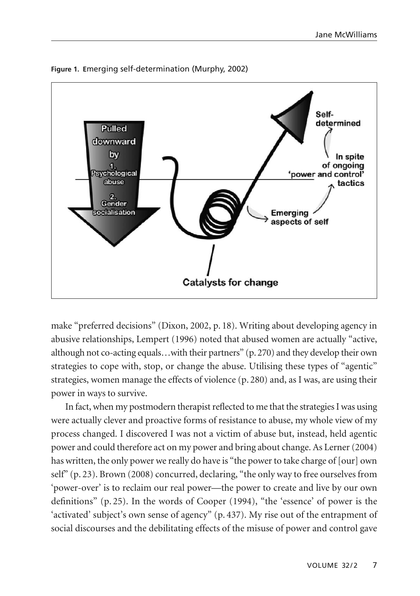

**Figure 1. E**merging self-determination (Murphy, 2002)

make "preferred decisions" (Dixon, 2002, p. 18). Writing about developing agency in abusive relationships, Lempert (1996) noted that abused women are actually "active, although not co-acting equals…with their partners" (p. 270) and they develop their own strategies to cope with, stop, or change the abuse. Utilising these types of "agentic" strategies, women manage the effects of violence (p. 280) and, as I was, are using their power in ways to survive.

In fact, when my postmodern therapist reflected to me that the strategies I was using were actually clever and proactive forms of resistance to abuse, my whole view of my process changed. I discovered I was not a victim of abuse but, instead, held agentic power and could therefore act on my power and bring about change. As Lerner (2004) has written, the only power we really do have is "the power to take charge of [our] own self" (p. 23). Brown (2008) concurred, declaring, "the only way to free ourselves from 'power-over' is to reclaim our real power—the power to create and live by our own definitions" (p. 25). In the words of Cooper (1994), "the 'essence' of power is the 'activated' subject's own sense of agency" (p. 437). My rise out of the entrapment of social discourses and the debilitating effects of the misuse of power and control gave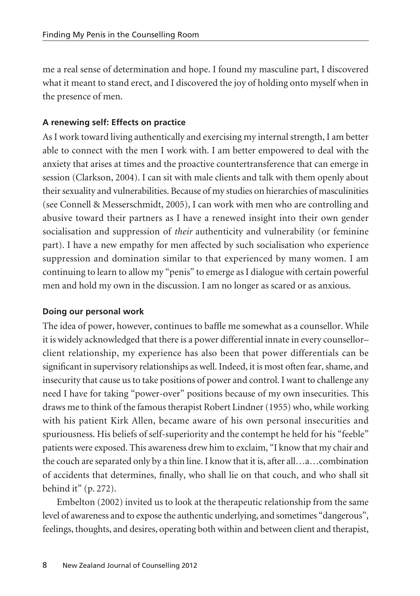me a real sense of determination and hope. I found my masculine part, I discovered what it meant to stand erect, and I discovered the joy of holding onto myself when in the presence of men.

# **A renewing self: Effects on practice**

As I work toward living authentically and exercising my internal strength, I am better able to connect with the men I work with. I am better empowered to deal with the anxiety that arises at times and the proactive countertransference that can emerge in session (Clarkson, 2004). I can sit with male clients and talk with them openly about their sexuality and vulnerabilities. Because of my studies on hierarchies of masculinities (see Connell & Messerschmidt, 2005), I can work with men who are controlling and abusive toward their partners as I have a renewed insight into their own gender socialisation and suppression of *their* authenticity and vulnerability (or feminine part). I have a new empathy for men affected by such socialisation who experience suppression and domination similar to that experienced by many women. I am continuing to learn to allow my "penis" to emerge as I dialogue with certain powerful men and hold my own in the discussion. I am no longer as scared or as anxious.

## **Doing our personal work**

The idea of power, however, continues to baffle me somewhat as a counsellor. While it is widely acknowledged that there is a power differential innate in every counsellor– client relationship, my experience has also been that power differentials can be significant in supervisory relationships as well. Indeed, it is most often fear, shame, and insecurity that cause us to take positions of power and control. I want to challenge any need I have for taking "power-over" positions because of my own insecurities. This draws me to think of the famous therapist Robert Lindner (1955) who, while working with his patient Kirk Allen, became aware of his own personal insecurities and spuriousness. His beliefs of self-superiority and the contempt he held for his "feeble" patients were exposed. This awareness drew him to exclaim, "I know that my chair and the couch are separated only by a thin line. I know that it is, after all…a…combination of accidents that determines, finally, who shall lie on that couch, and who shall sit behind it" (p. 272).

Embelton (2002) invited us to look at the therapeutic relationship from the same level of awareness and to expose the authentic underlying, and sometimes "dangerous", feelings, thoughts, and desires, operating both within and between client and therapist,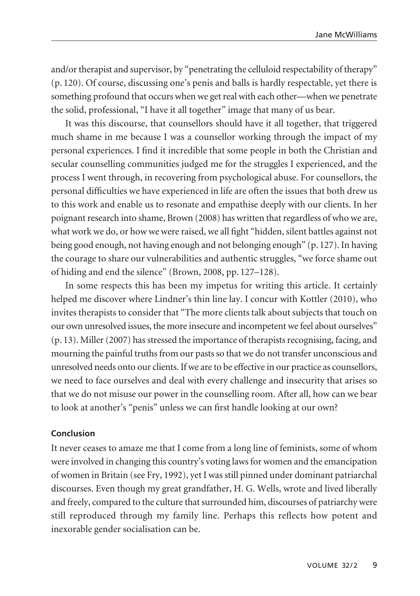and/or therapist and supervisor, by "penetrating the celluloid respectability of therapy" (p. 120). Of course, discussing one's penis and balls is hardly respectable, yet there is something profound that occurs when we get real with each other—when we penetrate the solid, professional, "I have it all together" image that many of us bear.

It was this discourse, that counsellors should have it all together, that triggered much shame in me because I was a counsellor working through the impact of my personal experiences. I find it incredible that some people in both the Christian and secular counselling communities judged me for the struggles I experienced, and the process I went through, in recovering from psychological abuse. For counsellors, the personal difficulties we have experienced in life are often the issues that both drew us to this work and enable us to resonate and empathise deeply with our clients. In her poignant research into shame, Brown (2008) has written that regardless of who we are, what work we do, or how we were raised, we all fight "hidden, silent battles against not being good enough, not having enough and not belonging enough" (p. 127). In having the courage to share our vulnerabilities and authentic struggles, "we force shame out of hiding and end the silence" (Brown, 2008, pp. 127–128).

In some respects this has been my impetus for writing this article. It certainly helped me discover where Lindner's thin line lay. I concur with Kottler (2010), who invites therapists to consider that "The more clients talk about subjects that touch on our own unresolved issues, the more insecure and incompetent we feel about ourselves" (p. 13). Miller (2007) has stressed the importance of therapists recognising, facing, and mourning the painful truths from our pasts so that we do not transfer unconscious and unresolved needs onto our clients. If we are to be effective in our practice as counsellors, we need to face ourselves and deal with every challenge and insecurity that arises so that we do not misuse our power in the counselling room. After all, how can we bear to look at another's "penis" unless we can first handle looking at our own?

## **Conclusion**

It never ceases to amaze me that I come from a long line of feminists, some of whom were involved in changing this country's voting laws for women and the emancipation of women in Britain (see Fry, 1992), yet I was still pinned under dominant patriarchal discourses. Even though my great grandfather, H. G. Wells, wrote and lived liberally and freely, compared to the culture that surrounded him, discourses of patriarchy were still reproduced through my family line. Perhaps this reflects how potent and inexorable gender socialisation can be.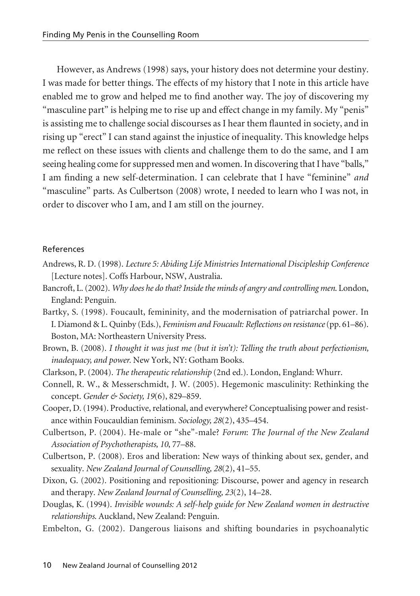However, as Andrews (1998) says, your history does not determine your destiny. I was made for better things. The effects of my history that I note in this article have enabled me to grow and helped me to find another way. The joy of discovering my "masculine part" is helping me to rise up and effect change in my family. My "penis" is assisting me to challenge social discourses as I hear them flaunted in society, and in rising up "erect" I can stand against the injustice of inequality. This knowledge helps me reflect on these issues with clients and challenge them to do the same, and I am seeing healing come for suppressed men and women. In discovering that I have "balls," I am finding a new self-determination. I can celebrate that I have "feminine" *and* "masculine" parts. As Culbertson (2008) wrote, I needed to learn who I was not, in order to discover who I am, and I am still on the journey.

#### References

- Andrews, R. D. (1998). *Lecture 5: Abiding Life Ministries International Discipleship Conference* [Lecture notes]. Coffs Harbour, NSW, Australia.
- Bancroft, L. (2002). *Why does he do that? Inside the minds of angry and controlling men*. London, England: Penguin.
- Bartky, S. (1998). Foucault, femininity, and the modernisation of patriarchal power. In I. Diamond & L. Quinby (Eds.), *Feminism and Foucault: Reflections on resistance* (pp. 61–86). Boston, MA: Northeastern University Press.
- Brown, B. (2008). *I thought it was just me (but it isn't): Telling the truth about perfectionism, inadequacy, and power.* New York, NY: Gotham Books.
- Clarkson, P. (2004). *The therapeutic relationship* (2nd ed.). London, England: Whurr.
- Connell, R. W., & Messerschmidt, J. W. (2005). Hegemonic masculinity: Rethinking the concept. *Gender & Society, 19*(6), 829–859.
- Cooper, D. (1994). Productive, relational, and everywhere? Conceptualising power and resistance within Foucauldian feminism. *Sociology, 28*(2), 435–454.
- Culbertson, P. (2004). He-male or "she"-male? *Forum*: *The Journal of the New Zealand Association of Psychotherapists, 10*, 77–88.
- Culbertson, P. (2008). Eros and liberation: New ways of thinking about sex, gender, and sexuality. *New Zealand Journal of Counselling, 28*(2), 41–55.
- Dixon, G. (2002). Positioning and repositioning: Discourse, power and agency in research and therapy. *New Zealand Journal of Counselling, 23*(2), 14–28.
- Douglas, K. (1994). *Invisible wounds: A self-help guide for New Zealand women in destructive relationships*. Auckland, New Zealand: Penguin.
- Embelton, G. (2002). Dangerous liaisons and shifting boundaries in psychoanalytic